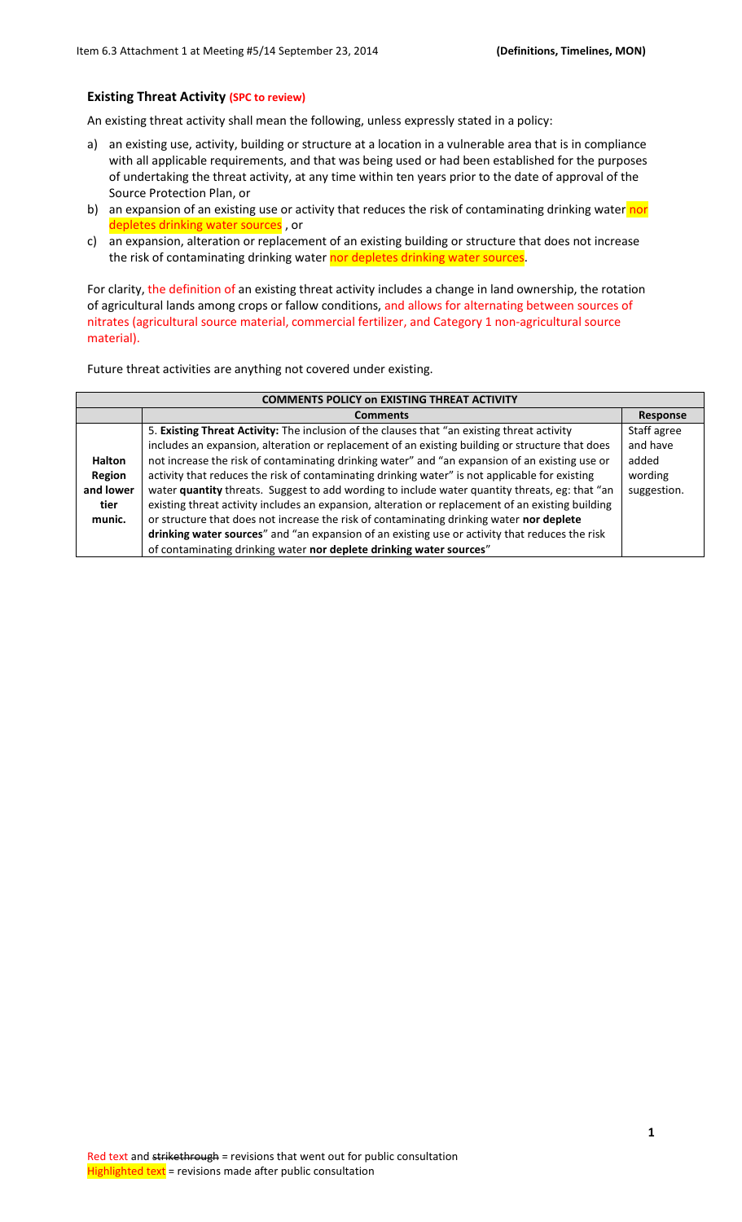## **Existing Threat Activity (SPC to review)**

An existing threat activity shall mean the following, unless expressly stated in a policy:

- a) an existing use, activity, building or structure at a location in a vulnerable area that is in compliance with all applicable requirements, and that was being used or had been established for the purposes of undertaking the threat activity, at any time within ten years prior to the date of approval of the Source Protection Plan, or
- b) an expansion of an existing use or activity that reduces the risk of contaminating drinking water nor depletes drinking water sources, or
- c) an expansion, alteration or replacement of an existing building or structure that does not increase the risk of contaminating drinking water nor depletes drinking water sources.

For clarity, the definition of an existing threat activity includes a change in land ownership, the rotation of agricultural lands among crops or fallow conditions, and allows for alternating between sources of nitrates (agricultural source material, commercial fertilizer, and Category 1 non-agricultural source material).

Future threat activities are anything not covered under existing.

|               | <b>COMMENTS POLICY ON EXISTING THREAT ACTIVITY</b>                                                |             |  |  |
|---------------|---------------------------------------------------------------------------------------------------|-------------|--|--|
|               | <b>Comments</b>                                                                                   | Response    |  |  |
|               | 5. Existing Threat Activity: The inclusion of the clauses that "an existing threat activity       | Staff agree |  |  |
|               | includes an expansion, alteration or replacement of an existing building or structure that does   | and have    |  |  |
| <b>Halton</b> | not increase the risk of contaminating drinking water" and "an expansion of an existing use or    | added       |  |  |
| Region        | activity that reduces the risk of contaminating drinking water" is not applicable for existing    | wording     |  |  |
| and lower     | water quantity threats. Suggest to add wording to include water quantity threats, eg: that "an    | suggestion. |  |  |
| tier          | existing threat activity includes an expansion, alteration or replacement of an existing building |             |  |  |
| munic.        | or structure that does not increase the risk of contaminating drinking water nor deplete          |             |  |  |
|               | drinking water sources" and "an expansion of an existing use or activity that reduces the risk    |             |  |  |
|               | of contaminating drinking water nor deplete drinking water sources"                               |             |  |  |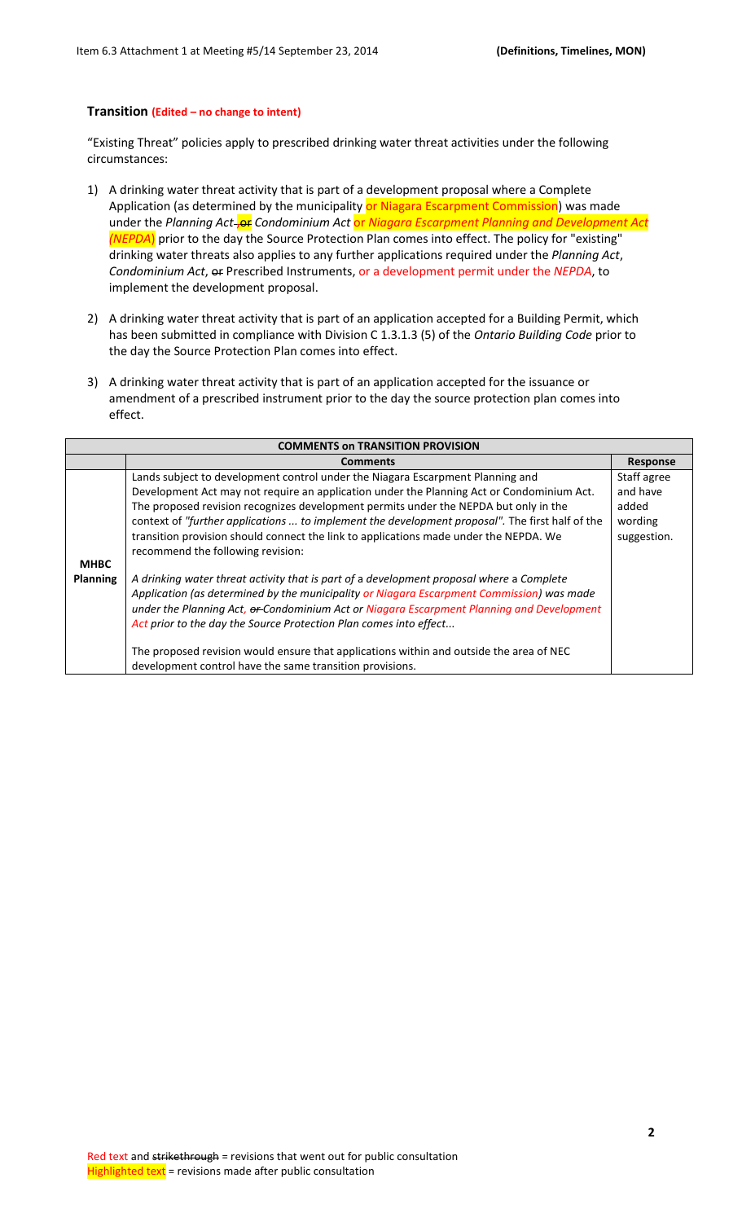## **Transition (Edited – no change to intent)**

"Existing Threat" policies apply to prescribed drinking water threat activities under the following circumstances:

- 1) A drinking water threat activity that is part of a development proposal where a Complete Application (as determined by the municipality or Niagara Escarpment Commission) was made under the Planning Act-<sub>J</sub>or Condominium Act or Niagara Escarpment Planning and Development Act *(NEPDA*) prior to the day the Source Protection Plan comes into effect. The policy for "existing" drinking water threats also applies to any further applications required under the *Planning Act*, *Condominium Act*, or Prescribed Instruments, or a development permit under the *NEPDA*, to implement the development proposal.
- 2) A drinking water threat activity that is part of an application accepted for a Building Permit, which has been submitted in compliance with Division C 1.3.1.3 (5) of the *Ontario Building Code* prior to the day the Source Protection Plan comes into effect.
- 3) A drinking water threat activity that is part of an application accepted for the issuance or amendment of a prescribed instrument prior to the day the source protection plan comes into effect.

|             | <b>COMMENTS ON TRANSITION PROVISION</b>                                                                                                                                                                                                                                                                                                                 |                                 |  |  |
|-------------|---------------------------------------------------------------------------------------------------------------------------------------------------------------------------------------------------------------------------------------------------------------------------------------------------------------------------------------------------------|---------------------------------|--|--|
|             | <b>Comments</b>                                                                                                                                                                                                                                                                                                                                         | <b>Response</b>                 |  |  |
|             | Lands subject to development control under the Niagara Escarpment Planning and<br>Development Act may not require an application under the Planning Act or Condominium Act.                                                                                                                                                                             | Staff agree<br>and have         |  |  |
| <b>MHBC</b> | The proposed revision recognizes development permits under the NEPDA but only in the<br>context of "further applications  to implement the development proposal". The first half of the<br>transition provision should connect the link to applications made under the NEPDA. We<br>recommend the following revision:                                   | added<br>wording<br>suggestion. |  |  |
| Planning    | A drinking water threat activity that is part of a development proposal where a Complete<br>Application (as determined by the municipality or Niagara Escarpment Commission) was made<br>under the Planning Act, or Condominium Act or Niagara Escarpment Planning and Development<br>Act prior to the day the Source Protection Plan comes into effect |                                 |  |  |
|             | The proposed revision would ensure that applications within and outside the area of NEC<br>development control have the same transition provisions.                                                                                                                                                                                                     |                                 |  |  |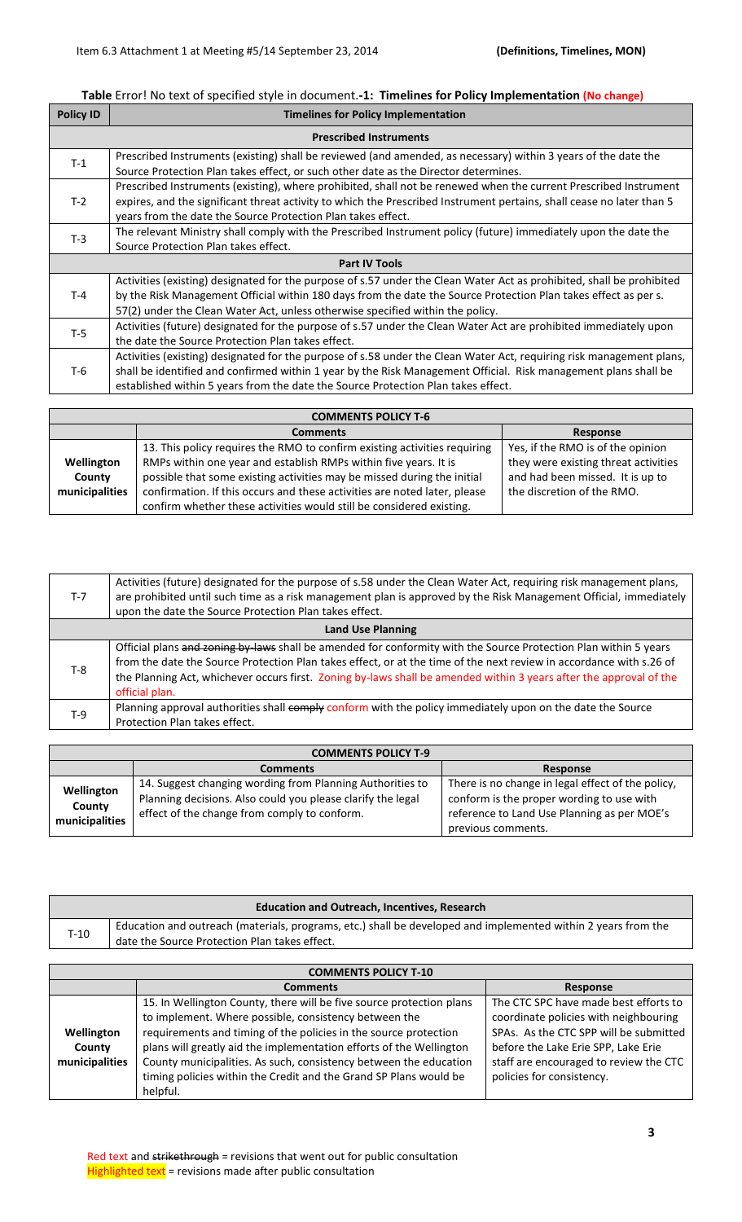## **Table** Error! No text of specified style in document.**-1: Timelines for Policy Implementation (No change)**

| <b>Policy ID</b> | <b>Timelines for Policy Implementation</b>                                                                                                                                                                                                                                                                                   |  |  |  |
|------------------|------------------------------------------------------------------------------------------------------------------------------------------------------------------------------------------------------------------------------------------------------------------------------------------------------------------------------|--|--|--|
|                  | <b>Prescribed Instruments</b>                                                                                                                                                                                                                                                                                                |  |  |  |
| $T-1$            | Prescribed Instruments (existing) shall be reviewed (and amended, as necessary) within 3 years of the date the<br>Source Protection Plan takes effect, or such other date as the Director determines.                                                                                                                        |  |  |  |
| $T-2$            | Prescribed Instruments (existing), where prohibited, shall not be renewed when the current Prescribed Instrument<br>expires, and the significant threat activity to which the Prescribed Instrument pertains, shall cease no later than 5<br>years from the date the Source Protection Plan takes effect.                    |  |  |  |
| $T-3$            | The relevant Ministry shall comply with the Prescribed Instrument policy (future) immediately upon the date the<br>Source Protection Plan takes effect.                                                                                                                                                                      |  |  |  |
|                  | <b>Part IV Tools</b>                                                                                                                                                                                                                                                                                                         |  |  |  |
| $T-4$            | Activities (existing) designated for the purpose of s.57 under the Clean Water Act as prohibited, shall be prohibited<br>by the Risk Management Official within 180 days from the date the Source Protection Plan takes effect as per s.<br>57(2) under the Clean Water Act, unless otherwise specified within the policy.   |  |  |  |
| $T-5$            | Activities (future) designated for the purpose of s.57 under the Clean Water Act are prohibited immediately upon<br>the date the Source Protection Plan takes effect.                                                                                                                                                        |  |  |  |
| T-6              | Activities (existing) designated for the purpose of s.58 under the Clean Water Act, requiring risk management plans,<br>shall be identified and confirmed within 1 year by the Risk Management Official. Risk management plans shall be<br>established within 5 years from the date the Source Protection Plan takes effect. |  |  |  |

|                | <b>COMMENTS POLICY T-6</b>                                                |                                      |  |  |
|----------------|---------------------------------------------------------------------------|--------------------------------------|--|--|
|                | <b>Comments</b>                                                           | Response                             |  |  |
|                | 13. This policy requires the RMO to confirm existing activities requiring | Yes, if the RMO is of the opinion    |  |  |
| Wellington     | RMPs within one year and establish RMPs within five years. It is          | they were existing threat activities |  |  |
| County         | possible that some existing activities may be missed during the initial   | and had been missed. It is up to     |  |  |
| municipalities | confirmation. If this occurs and these activities are noted later, please | the discretion of the RMO.           |  |  |
|                | confirm whether these activities would still be considered existing.      |                                      |  |  |

| $T-7$ | Activities (future) designated for the purpose of s.58 under the Clean Water Act, requiring risk management plans,<br>are prohibited until such time as a risk management plan is approved by the Risk Management Official, immediately<br>upon the date the Source Protection Plan takes effect.                                                                               |  |  |  |  |
|-------|---------------------------------------------------------------------------------------------------------------------------------------------------------------------------------------------------------------------------------------------------------------------------------------------------------------------------------------------------------------------------------|--|--|--|--|
|       | <b>Land Use Planning</b>                                                                                                                                                                                                                                                                                                                                                        |  |  |  |  |
| $T-8$ | Official plans and zoning by laws shall be amended for conformity with the Source Protection Plan within 5 years<br>from the date the Source Protection Plan takes effect, or at the time of the next review in accordance with s.26 of<br>the Planning Act, whichever occurs first. Zoning by-laws shall be amended within 3 years after the approval of the<br>official plan. |  |  |  |  |
| $T-9$ | Planning approval authorities shall comply conform with the policy immediately upon on the date the Source<br>Protection Plan takes effect.                                                                                                                                                                                                                                     |  |  |  |  |

|                                        | <b>COMMENTS POLICY T-9</b>                                                                                                                                               |                                                                                                                                                                     |  |
|----------------------------------------|--------------------------------------------------------------------------------------------------------------------------------------------------------------------------|---------------------------------------------------------------------------------------------------------------------------------------------------------------------|--|
|                                        | Comments                                                                                                                                                                 | <b>Response</b>                                                                                                                                                     |  |
| Wellington<br>County<br>municipalities | 14. Suggest changing wording from Planning Authorities to<br>Planning decisions. Also could you please clarify the legal<br>effect of the change from comply to conform. | There is no change in legal effect of the policy,<br>conform is the proper wording to use with<br>reference to Land Use Planning as per MOE's<br>previous comments. |  |

|        | <b>Education and Outreach, Incentives, Research</b>                                                                                                            |  |  |  |
|--------|----------------------------------------------------------------------------------------------------------------------------------------------------------------|--|--|--|
| $T-10$ | Education and outreach (materials, programs, etc.) shall be developed and implemented within 2 years from the<br>date the Source Protection Plan takes effect. |  |  |  |

|                                        | <b>COMMENTS POLICY T-10</b>                                                                                                                                                                                                                                                                                                                                                                                        |                                                                                                                                                                                                                                        |  |  |
|----------------------------------------|--------------------------------------------------------------------------------------------------------------------------------------------------------------------------------------------------------------------------------------------------------------------------------------------------------------------------------------------------------------------------------------------------------------------|----------------------------------------------------------------------------------------------------------------------------------------------------------------------------------------------------------------------------------------|--|--|
|                                        | <b>Comments</b>                                                                                                                                                                                                                                                                                                                                                                                                    | Response                                                                                                                                                                                                                               |  |  |
| Wellington<br>County<br>municipalities | 15. In Wellington County, there will be five source protection plans<br>to implement. Where possible, consistency between the<br>requirements and timing of the policies in the source protection<br>plans will greatly aid the implementation efforts of the Wellington<br>County municipalities. As such, consistency between the education<br>timing policies within the Credit and the Grand SP Plans would be | The CTC SPC have made best efforts to<br>coordinate policies with neighbouring<br>SPAs. As the CTC SPP will be submitted<br>before the Lake Erie SPP, Lake Erie<br>staff are encouraged to review the CTC<br>policies for consistency. |  |  |
|                                        | helpful.                                                                                                                                                                                                                                                                                                                                                                                                           |                                                                                                                                                                                                                                        |  |  |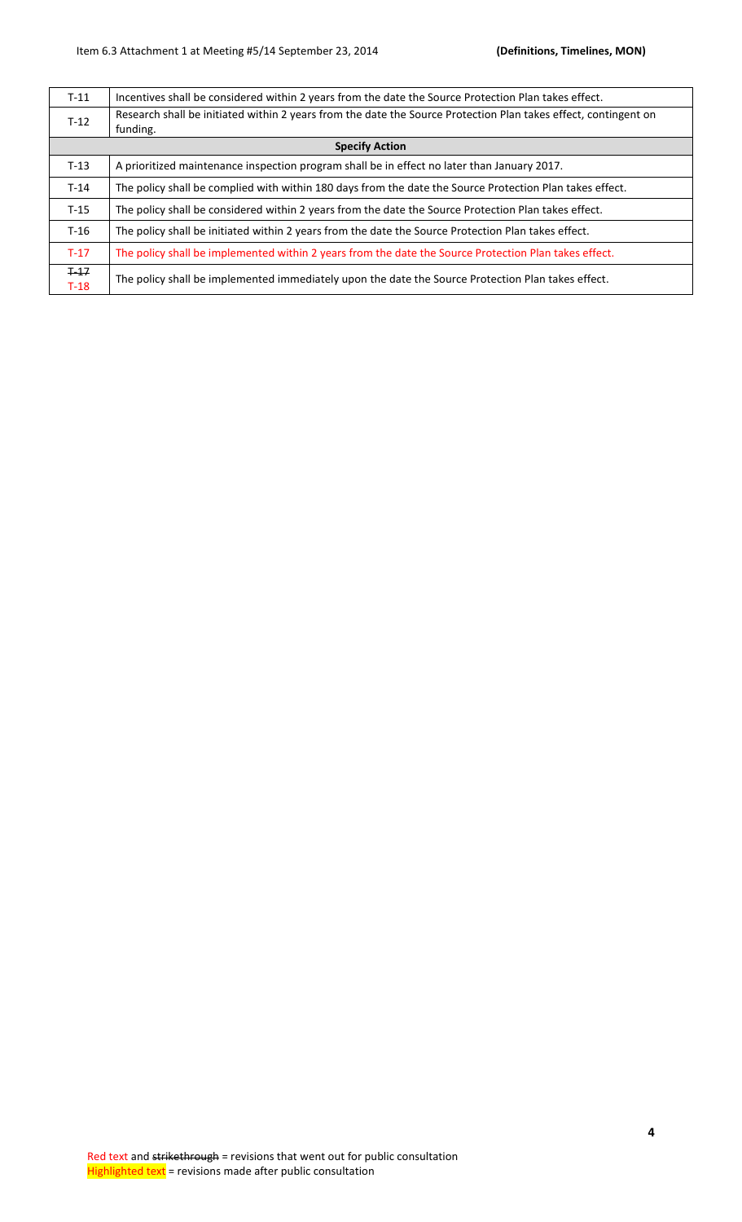| $T-11$ | Incentives shall be considered within 2 years from the date the Source Protection Plan takes effect.            |  |  |  |
|--------|-----------------------------------------------------------------------------------------------------------------|--|--|--|
| $T-12$ | Research shall be initiated within 2 years from the date the Source Protection Plan takes effect, contingent on |  |  |  |
|        | funding.                                                                                                        |  |  |  |
|        | <b>Specify Action</b>                                                                                           |  |  |  |
| $T-13$ | A prioritized maintenance inspection program shall be in effect no later than January 2017.                     |  |  |  |
| $T-14$ | The policy shall be complied with within 180 days from the date the Source Protection Plan takes effect.        |  |  |  |
| $T-15$ | The policy shall be considered within 2 years from the date the Source Protection Plan takes effect.            |  |  |  |
| $T-16$ | The policy shall be initiated within 2 years from the date the Source Protection Plan takes effect.             |  |  |  |
| $T-17$ | The policy shall be implemented within 2 years from the date the Source Protection Plan takes effect.           |  |  |  |
| $+17$  |                                                                                                                 |  |  |  |
| $T-18$ | The policy shall be implemented immediately upon the date the Source Protection Plan takes effect.              |  |  |  |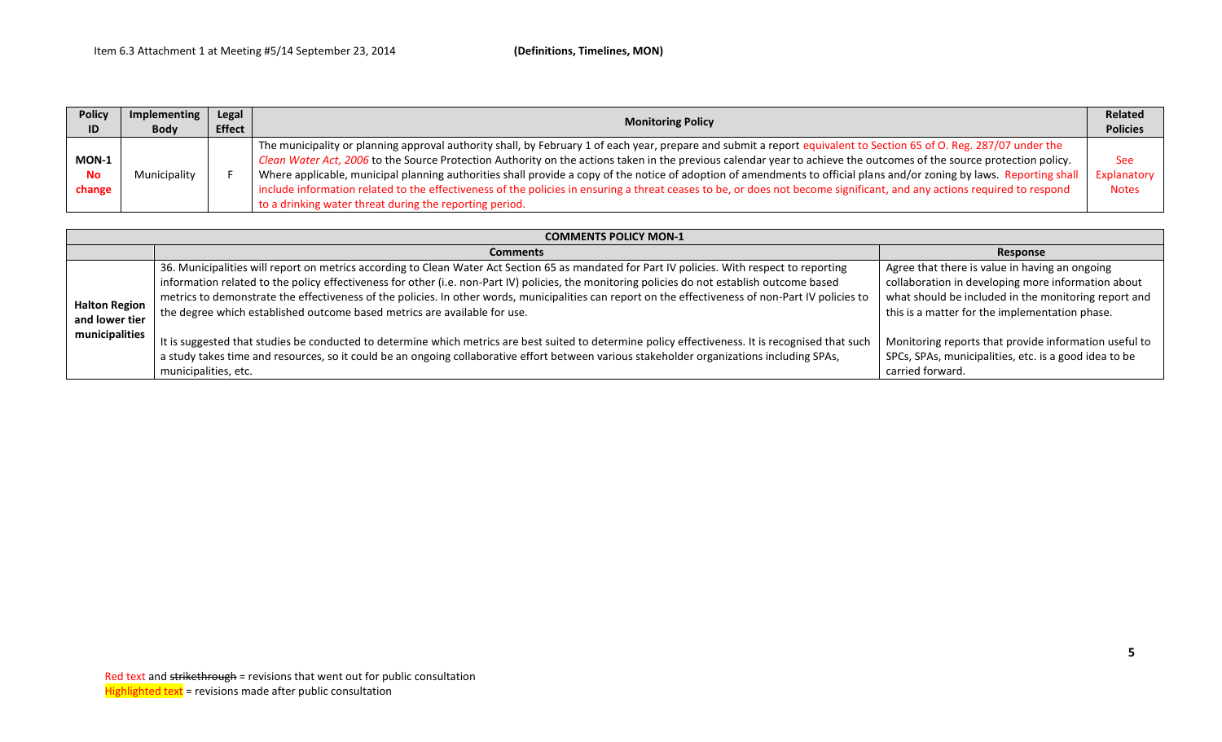| <b>Policy</b> | Implementing | Legal<br><b>Effect</b> | <b>Monitoring Policy</b>                                                                                                                                                | <b>Related</b><br><b>Policies</b> |
|---------------|--------------|------------------------|-------------------------------------------------------------------------------------------------------------------------------------------------------------------------|-----------------------------------|
| ID            | <b>Body</b>  |                        |                                                                                                                                                                         |                                   |
|               |              |                        | The municipality or planning approval authority shall, by February 1 of each year, prepare and submit a report equivalent to Section 65 of O. Reg. 287/07 under the     |                                   |
| MON-1         |              |                        | Clean Water Act, 2006 to the Source Protection Authority on the actions taken in the previous calendar year to achieve the outcomes of the source protection policy.    | <b>See</b>                        |
| <b>No</b>     | Municipality |                        | Where applicable, municipal planning authorities shall provide a copy of the notice of adoption of amendments to official plans and/or zoning by laws. Reporting shall  | Explanatory                       |
| change        |              |                        | include information related to the effectiveness of the policies in ensuring a threat ceases to be, or does not become significant, and any actions required to respond | <b>Notes</b>                      |
|               |              |                        | to a drinking water threat during the reporting period.                                                                                                                 |                                   |

|                                  | <b>COMMENTS POLICY MON-1</b>                                                                                                                                                                                                                                                                                                                                                                                                                          |                                                                                                                                                                                      |  |  |  |
|----------------------------------|-------------------------------------------------------------------------------------------------------------------------------------------------------------------------------------------------------------------------------------------------------------------------------------------------------------------------------------------------------------------------------------------------------------------------------------------------------|--------------------------------------------------------------------------------------------------------------------------------------------------------------------------------------|--|--|--|
|                                  | <b>Comments</b>                                                                                                                                                                                                                                                                                                                                                                                                                                       | Response                                                                                                                                                                             |  |  |  |
| <b>Halton Region</b>             | 36. Municipalities will report on metrics according to Clean Water Act Section 65 as mandated for Part IV policies. With respect to reporting<br>information related to the policy effectiveness for other (i.e. non-Part IV) policies, the monitoring policies do not establish outcome based<br>metrics to demonstrate the effectiveness of the policies. In other words, municipalities can report on the effectiveness of non-Part IV policies to | Agree that there is value in having an ongoing<br>collaboration in developing more information about<br>what should be included in the monitoring report and                         |  |  |  |
| and lower tier<br>municipalities | the degree which established outcome based metrics are available for use.<br>It is suggested that studies be conducted to determine which metrics are best suited to determine policy effectiveness. It is recognised that such<br>a study takes time and resources, so it could be an ongoing collaborative effort between various stakeholder organizations including SPAs,<br>municipalities, etc.                                                 | this is a matter for the implementation phase.<br>Monitoring reports that provide information useful to<br>SPCs, SPAs, municipalities, etc. is a good idea to be<br>carried forward. |  |  |  |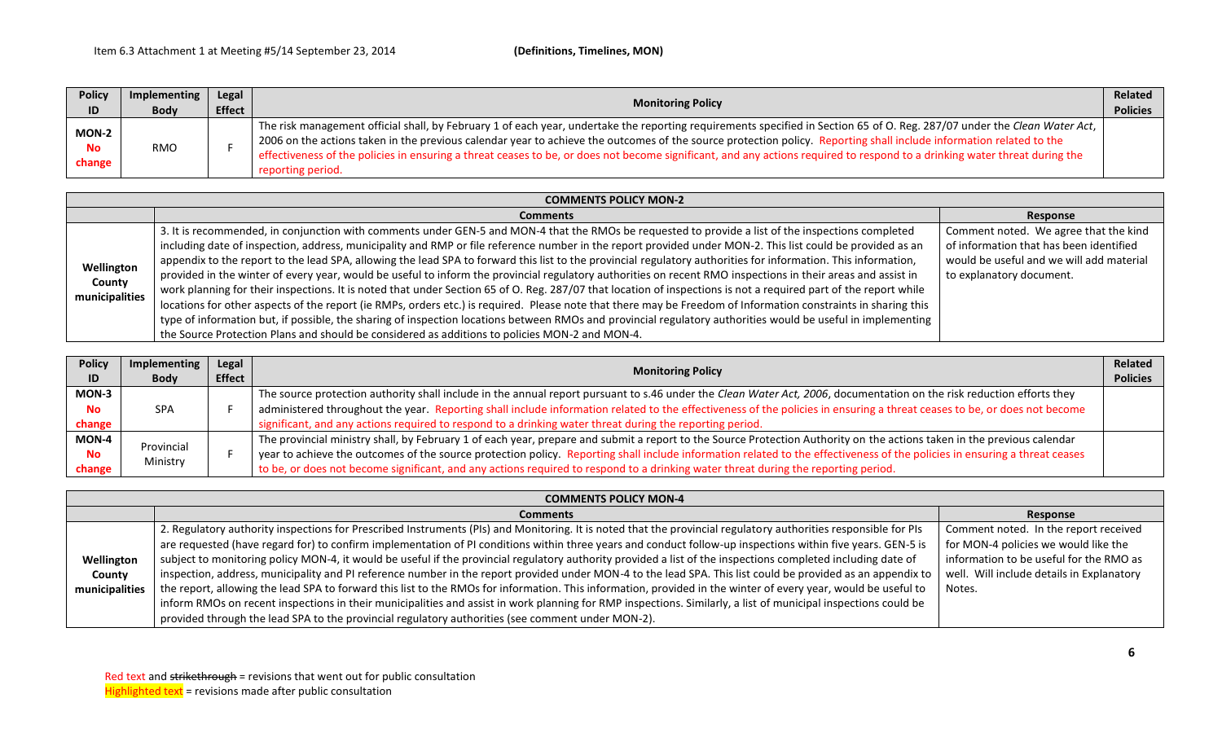| <b>Policy</b>                | Implementing | Legal         | <b>Monitoring Policy</b>                                                                                                                                                                                                                                                                                                                                                                                                                                                                                                                              | Related         |
|------------------------------|--------------|---------------|-------------------------------------------------------------------------------------------------------------------------------------------------------------------------------------------------------------------------------------------------------------------------------------------------------------------------------------------------------------------------------------------------------------------------------------------------------------------------------------------------------------------------------------------------------|-----------------|
| ID                           | <b>Body</b>  | <b>Effect</b> |                                                                                                                                                                                                                                                                                                                                                                                                                                                                                                                                                       | <b>Policies</b> |
| MON-2<br><b>No</b><br>change | <b>RMO</b>   |               | The risk management official shall, by February 1 of each year, undertake the reporting requirements specified in Section 65 of O. Reg. 287/07 under the Clean Water Act, 1<br>2006 on the actions taken in the previous calendar year to achieve the outcomes of the source protection policy. Reporting shall include information related to the<br>effectiveness of the policies in ensuring a threat ceases to be, or does not become significant, and any actions required to respond to a drinking water threat during the<br>reporting period. |                 |

| <b>COMMENTS POLICY MON-2</b>           |                                                                                                                                                                  |                                          |  |
|----------------------------------------|------------------------------------------------------------------------------------------------------------------------------------------------------------------|------------------------------------------|--|
|                                        | <b>Comments</b>                                                                                                                                                  | Response                                 |  |
| Wellington<br>County<br>municipalities | 3. It is recommended, in conjunction with comments under GEN-5 and MON-4 that the RMOs be requested to provide a list of the inspections completed               | Comment noted. We agree that the kind    |  |
|                                        | including date of inspection, address, municipality and RMP or file reference number in the report provided under MON-2. This list could be provided as an       | of information that has been identified  |  |
|                                        | appendix to the report to the lead SPA, allowing the lead SPA to forward this list to the provincial regulatory authorities for information. This information,   | would be useful and we will add material |  |
|                                        | provided in the winter of every year, would be useful to inform the provincial regulatory authorities on recent RMO inspections in their areas and assist in     | to explanatory document.                 |  |
|                                        | work planning for their inspections. It is noted that under Section 65 of O. Reg. 287/07 that location of inspections is not a required part of the report while |                                          |  |
|                                        | locations for other aspects of the report (ie RMPs, orders etc.) is required. Please note that there may be Freedom of Information constraints in sharing this   |                                          |  |
|                                        | type of information but, if possible, the sharing of inspection locations between RMOs and provincial regulatory authorities would be useful in implementing     |                                          |  |
|                                        | the Source Protection Plans and should be considered as additions to policies MON-2 and MON-4.                                                                   |                                          |  |

| <b>Policy</b> | Implementing | Legal         | <b>Monitoring Policy</b>                                                                                                                                                   |  |
|---------------|--------------|---------------|----------------------------------------------------------------------------------------------------------------------------------------------------------------------------|--|
| ID            | <b>Body</b>  | <b>Effect</b> |                                                                                                                                                                            |  |
| MON-3         |              |               | The source protection authority shall include in the annual report pursuant to s.46 under the Clean Water Act, 2006, documentation on the risk reduction efforts they      |  |
| No.           | <b>SPA</b>   |               | administered throughout the year. Reporting shall include information related to the effectiveness of the policies in ensuring a threat ceases to be, or does not become   |  |
| change        |              |               | significant, and any actions required to respond to a drinking water threat during the reporting period.                                                                   |  |
| MON-4         | Provincial   |               | The provincial ministry shall, by February 1 of each year, prepare and submit a report to the Source Protection Authority on the actions taken in the previous calendar    |  |
| Νo            |              |               | year to achieve the outcomes of the source protection policy. Reporting shall include information related to the effectiveness of the policies in ensuring a threat ceases |  |
| change        | Ministry     |               | to be, or does not become significant, and any actions required to respond to a drinking water threat during the reporting period.                                         |  |

| <b>COMMENTS POLICY MON-4</b> |                                                                                                                                                                 |                                           |  |
|------------------------------|-----------------------------------------------------------------------------------------------------------------------------------------------------------------|-------------------------------------------|--|
|                              | <b>Comments</b>                                                                                                                                                 | Response                                  |  |
|                              | 2. Regulatory authority inspections for Prescribed Instruments (PIs) and Monitoring. It is noted that the provincial regulatory authorities responsible for PIs | Comment noted. In the report received     |  |
|                              | are requested (have regard for) to confirm implementation of PI conditions within three years and conduct follow-up inspections within five years. GEN-5 is     | for MON-4 policies we would like the      |  |
| Wellington                   | subject to monitoring policy MON-4, it would be useful if the provincial regulatory authority provided a list of the inspections completed including date of    | information to be useful for the RMO as   |  |
| County                       | inspection, address, municipality and PI reference number in the report provided under MON-4 to the lead SPA. This list could be provided as an appendix to     | well. Will include details in Explanatory |  |
| municipalities               | the report, allowing the lead SPA to forward this list to the RMOs for information. This information, provided in the winter of every year, would be useful to  | Notes.                                    |  |
|                              | inform RMOs on recent inspections in their municipalities and assist in work planning for RMP inspections. Similarly, a list of municipal inspections could be  |                                           |  |
|                              | provided through the lead SPA to the provincial regulatory authorities (see comment under MON-2).                                                               |                                           |  |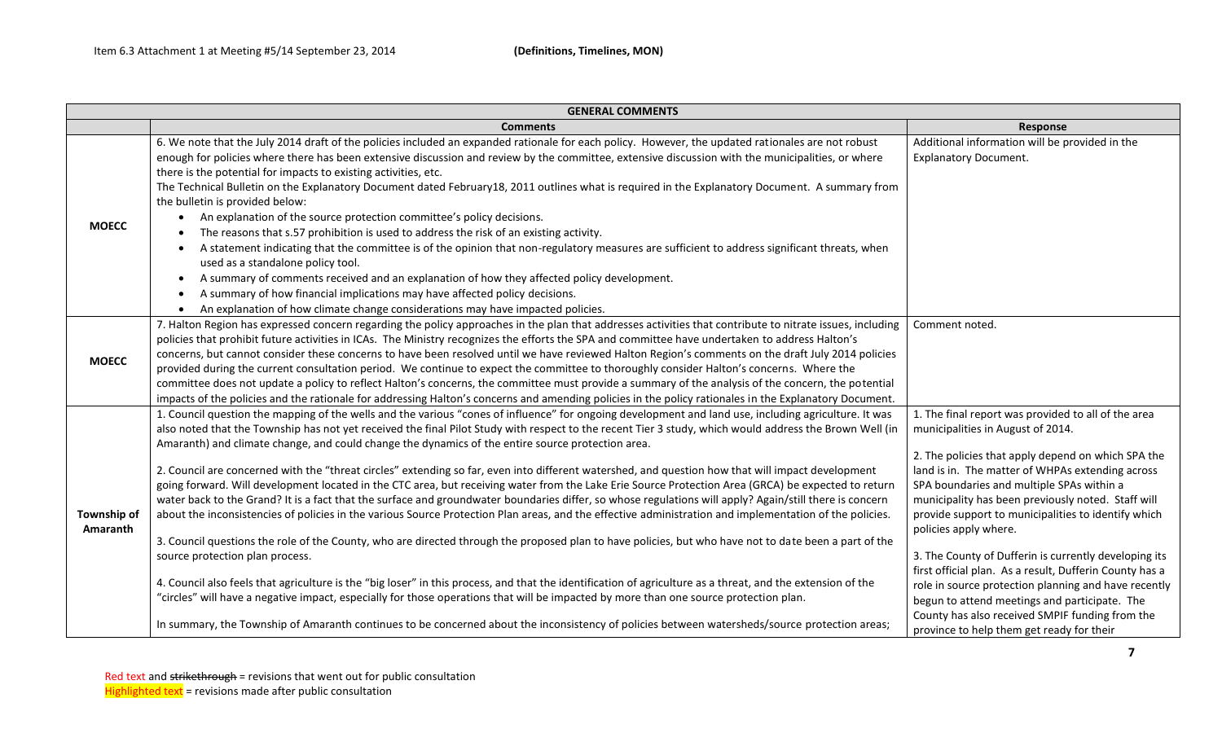| <b>GENERAL COMMENTS</b> |                                                                                                                                                                                                                                                                                                                                                                                                                                                                                                                                                                                                                                                                                                                                                                                                                                                                                                                                                                                                                                                                                                                                                                                                                                                                                                                                                                                                                                                                                                                                                                                                                                                                                                               |                                                                                                                                                                                                                                                                                                                                                                                                                                                                                                                                                                                                                                                                                                                    |  |
|-------------------------|---------------------------------------------------------------------------------------------------------------------------------------------------------------------------------------------------------------------------------------------------------------------------------------------------------------------------------------------------------------------------------------------------------------------------------------------------------------------------------------------------------------------------------------------------------------------------------------------------------------------------------------------------------------------------------------------------------------------------------------------------------------------------------------------------------------------------------------------------------------------------------------------------------------------------------------------------------------------------------------------------------------------------------------------------------------------------------------------------------------------------------------------------------------------------------------------------------------------------------------------------------------------------------------------------------------------------------------------------------------------------------------------------------------------------------------------------------------------------------------------------------------------------------------------------------------------------------------------------------------------------------------------------------------------------------------------------------------|--------------------------------------------------------------------------------------------------------------------------------------------------------------------------------------------------------------------------------------------------------------------------------------------------------------------------------------------------------------------------------------------------------------------------------------------------------------------------------------------------------------------------------------------------------------------------------------------------------------------------------------------------------------------------------------------------------------------|--|
|                         | <b>Comments</b>                                                                                                                                                                                                                                                                                                                                                                                                                                                                                                                                                                                                                                                                                                                                                                                                                                                                                                                                                                                                                                                                                                                                                                                                                                                                                                                                                                                                                                                                                                                                                                                                                                                                                               | Response                                                                                                                                                                                                                                                                                                                                                                                                                                                                                                                                                                                                                                                                                                           |  |
| <b>MOECC</b>            | 6. We note that the July 2014 draft of the policies included an expanded rationale for each policy. However, the updated rationales are not robust<br>enough for policies where there has been extensive discussion and review by the committee, extensive discussion with the municipalities, or where<br>there is the potential for impacts to existing activities, etc.<br>The Technical Bulletin on the Explanatory Document dated February18, 2011 outlines what is required in the Explanatory Document. A summary from<br>the bulletin is provided below:<br>An explanation of the source protection committee's policy decisions.<br>The reasons that s.57 prohibition is used to address the risk of an existing activity.<br>A statement indicating that the committee is of the opinion that non-regulatory measures are sufficient to address significant threats, when<br>used as a standalone policy tool.<br>A summary of comments received and an explanation of how they affected policy development.<br>$\bullet$<br>A summary of how financial implications may have affected policy decisions.<br>An explanation of how climate change considerations may have impacted policies.                                                                                                                                                                                                                                                                                                                                                                                                                                                                                                         | Additional information will be provided in the<br><b>Explanatory Document.</b>                                                                                                                                                                                                                                                                                                                                                                                                                                                                                                                                                                                                                                     |  |
| <b>MOECC</b>            | 7. Halton Region has expressed concern regarding the policy approaches in the plan that addresses activities that contribute to nitrate issues, including<br>policies that prohibit future activities in ICAs. The Ministry recognizes the efforts the SPA and committee have undertaken to address Halton's<br>concerns, but cannot consider these concerns to have been resolved until we have reviewed Halton Region's comments on the draft July 2014 policies<br>provided during the current consultation period. We continue to expect the committee to thoroughly consider Halton's concerns. Where the<br>committee does not update a policy to reflect Halton's concerns, the committee must provide a summary of the analysis of the concern, the potential<br>impacts of the policies and the rationale for addressing Halton's concerns and amending policies in the policy rationales in the Explanatory Document.                                                                                                                                                                                                                                                                                                                                                                                                                                                                                                                                                                                                                                                                                                                                                                               | Comment noted.                                                                                                                                                                                                                                                                                                                                                                                                                                                                                                                                                                                                                                                                                                     |  |
| Township of<br>Amaranth | 1. Council question the mapping of the wells and the various "cones of influence" for ongoing development and land use, including agriculture. It was<br>also noted that the Township has not yet received the final Pilot Study with respect to the recent Tier 3 study, which would address the Brown Well (in<br>Amaranth) and climate change, and could change the dynamics of the entire source protection area.<br>2. Council are concerned with the "threat circles" extending so far, even into different watershed, and question how that will impact development<br>going forward. Will development located in the CTC area, but receiving water from the Lake Erie Source Protection Area (GRCA) be expected to return<br>water back to the Grand? It is a fact that the surface and groundwater boundaries differ, so whose regulations will apply? Again/still there is concern<br>about the inconsistencies of policies in the various Source Protection Plan areas, and the effective administration and implementation of the policies.<br>3. Council questions the role of the County, who are directed through the proposed plan to have policies, but who have not to date been a part of the<br>source protection plan process.<br>4. Council also feels that agriculture is the "big loser" in this process, and that the identification of agriculture as a threat, and the extension of the<br>"circles" will have a negative impact, especially for those operations that will be impacted by more than one source protection plan.<br>In summary, the Township of Amaranth continues to be concerned about the inconsistency of policies between watersheds/source protection areas; | 1. The final report was provided to all of the area<br>municipalities in August of 2014.<br>2. The policies that apply depend on which SPA the<br>land is in. The matter of WHPAs extending across<br>SPA boundaries and multiple SPAs within a<br>municipality has been previously noted. Staff will<br>provide support to municipalities to identify which<br>policies apply where.<br>3. The County of Dufferin is currently developing its<br>first official plan. As a result, Dufferin County has a<br>role in source protection planning and have recently<br>begun to attend meetings and participate. The<br>County has also received SMPIF funding from the<br>province to help them get ready for their |  |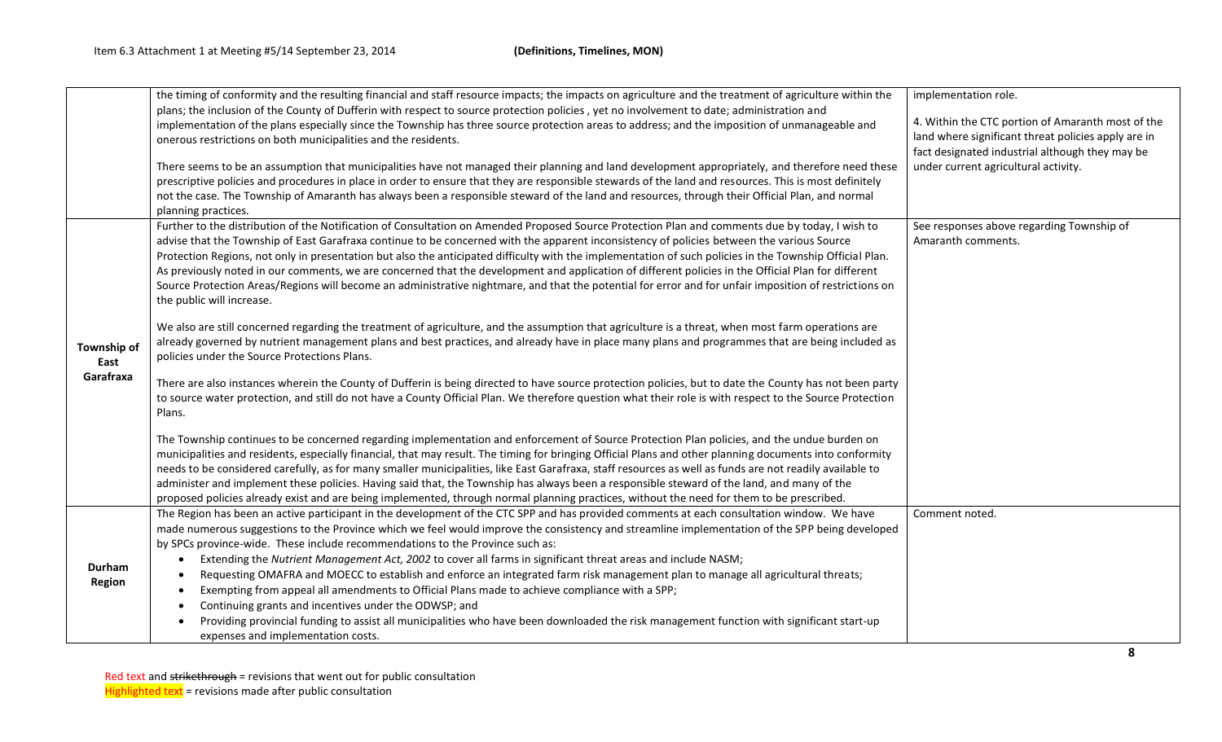|                         | the timing of conformity and the resulting financial and staff resource impacts; the impacts on agriculture and the treatment of agriculture within the<br>plans; the inclusion of the County of Dufferin with respect to source protection policies, yet no involvement to date; administration and<br>implementation of the plans especially since the Township has three source protection areas to address; and the imposition of unmanageable and<br>onerous restrictions on both municipalities and the residents.<br>There seems to be an assumption that municipalities have not managed their planning and land development appropriately, and therefore need these<br>prescriptive policies and procedures in place in order to ensure that they are responsible stewards of the land and resources. This is most definitely<br>not the case. The Township of Amaranth has always been a responsible steward of the land and resources, through their Official Plan, and normal<br>planning practices. | implementation role.<br>4. Within the CTC portion of Amaranth most of the<br>land where significant threat policies apply are in<br>fact designated industrial although they may be<br>under current agricultural activity. |
|-------------------------|------------------------------------------------------------------------------------------------------------------------------------------------------------------------------------------------------------------------------------------------------------------------------------------------------------------------------------------------------------------------------------------------------------------------------------------------------------------------------------------------------------------------------------------------------------------------------------------------------------------------------------------------------------------------------------------------------------------------------------------------------------------------------------------------------------------------------------------------------------------------------------------------------------------------------------------------------------------------------------------------------------------|-----------------------------------------------------------------------------------------------------------------------------------------------------------------------------------------------------------------------------|
|                         | Further to the distribution of the Notification of Consultation on Amended Proposed Source Protection Plan and comments due by today, I wish to<br>advise that the Township of East Garafraxa continue to be concerned with the apparent inconsistency of policies between the various Source<br>Protection Regions, not only in presentation but also the anticipated difficulty with the implementation of such policies in the Township Official Plan.<br>As previously noted in our comments, we are concerned that the development and application of different policies in the Official Plan for different<br>Source Protection Areas/Regions will become an administrative nightmare, and that the potential for error and for unfair imposition of restrictions on<br>the public will increase.                                                                                                                                                                                                          | See responses above regarding Township of<br>Amaranth comments.                                                                                                                                                             |
| Township of<br>East     | We also are still concerned regarding the treatment of agriculture, and the assumption that agriculture is a threat, when most farm operations are<br>already governed by nutrient management plans and best practices, and already have in place many plans and programmes that are being included as<br>policies under the Source Protections Plans.                                                                                                                                                                                                                                                                                                                                                                                                                                                                                                                                                                                                                                                           |                                                                                                                                                                                                                             |
| Garafraxa               | There are also instances wherein the County of Dufferin is being directed to have source protection policies, but to date the County has not been party<br>to source water protection, and still do not have a County Official Plan. We therefore question what their role is with respect to the Source Protection<br>Plans.                                                                                                                                                                                                                                                                                                                                                                                                                                                                                                                                                                                                                                                                                    |                                                                                                                                                                                                                             |
|                         | The Township continues to be concerned regarding implementation and enforcement of Source Protection Plan policies, and the undue burden on<br>municipalities and residents, especially financial, that may result. The timing for bringing Official Plans and other planning documents into conformity<br>needs to be considered carefully, as for many smaller municipalities, like East Garafraxa, staff resources as well as funds are not readily available to<br>administer and implement these policies. Having said that, the Township has always been a responsible steward of the land, and many of the<br>proposed policies already exist and are being implemented, through normal planning practices, without the need for them to be prescribed.                                                                                                                                                                                                                                                   |                                                                                                                                                                                                                             |
|                         | The Region has been an active participant in the development of the CTC SPP and has provided comments at each consultation window. We have<br>made numerous suggestions to the Province which we feel would improve the consistency and streamline implementation of the SPP being developed<br>by SPCs province-wide. These include recommendations to the Province such as:                                                                                                                                                                                                                                                                                                                                                                                                                                                                                                                                                                                                                                    | Comment noted.                                                                                                                                                                                                              |
| Durham<br><b>Region</b> | Extending the Nutrient Management Act, 2002 to cover all farms in significant threat areas and include NASM;<br>$\bullet$<br>Requesting OMAFRA and MOECC to establish and enforce an integrated farm risk management plan to manage all agricultural threats;<br>Exempting from appeal all amendments to Official Plans made to achieve compliance with a SPP;                                                                                                                                                                                                                                                                                                                                                                                                                                                                                                                                                                                                                                                   |                                                                                                                                                                                                                             |
|                         | Continuing grants and incentives under the ODWSP; and<br>Providing provincial funding to assist all municipalities who have been downloaded the risk management function with significant start-up<br>expenses and implementation costs.                                                                                                                                                                                                                                                                                                                                                                                                                                                                                                                                                                                                                                                                                                                                                                         |                                                                                                                                                                                                                             |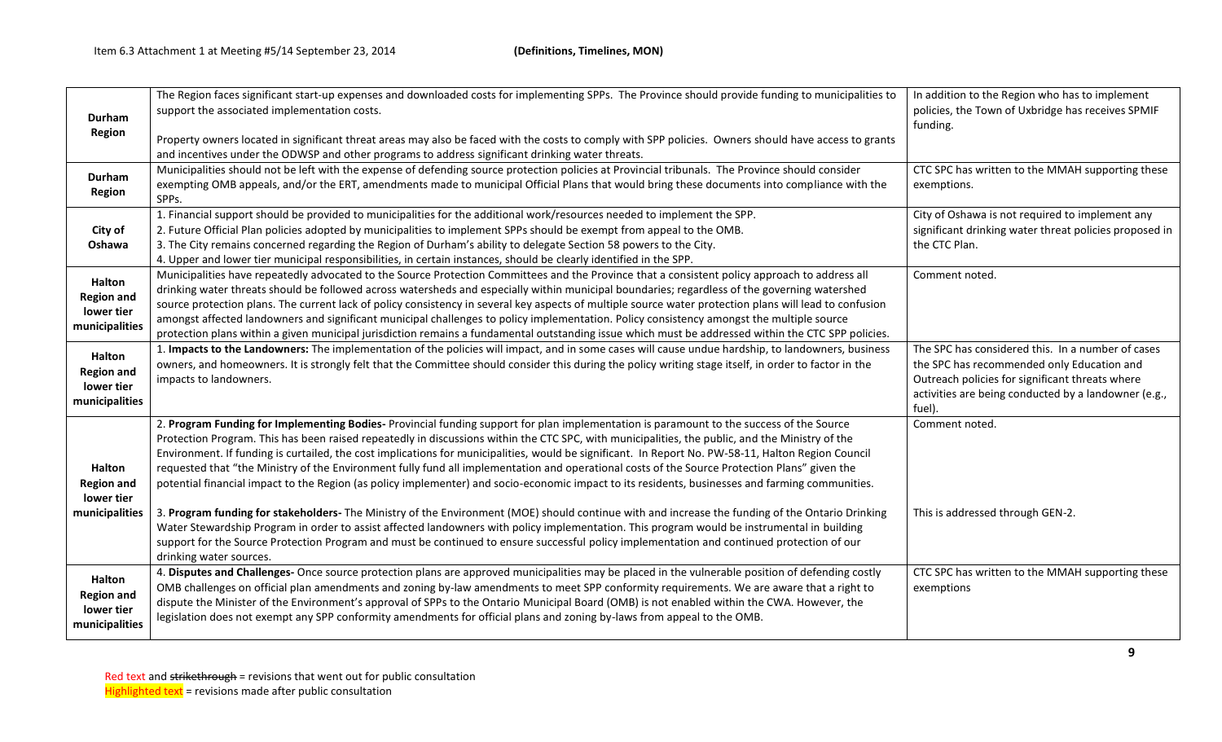| Durham<br>Region                                                   | The Region faces significant start-up expenses and downloaded costs for implementing SPPs. The Province should provide funding to municipalities to<br>support the associated implementation costs.<br>Property owners located in significant threat areas may also be faced with the costs to comply with SPP policies. Owners should have access to grants<br>and incentives under the ODWSP and other programs to address significant drinking water threats.                                                                                                                                                                                                                                                                                                                                                                                                                                                                                                                                                                                                                                                                                                                                                                    | In addition to the Region who has to implement<br>policies, the Town of Uxbridge has receives SPMIF<br>funding.                                                                                                      |
|--------------------------------------------------------------------|-------------------------------------------------------------------------------------------------------------------------------------------------------------------------------------------------------------------------------------------------------------------------------------------------------------------------------------------------------------------------------------------------------------------------------------------------------------------------------------------------------------------------------------------------------------------------------------------------------------------------------------------------------------------------------------------------------------------------------------------------------------------------------------------------------------------------------------------------------------------------------------------------------------------------------------------------------------------------------------------------------------------------------------------------------------------------------------------------------------------------------------------------------------------------------------------------------------------------------------|----------------------------------------------------------------------------------------------------------------------------------------------------------------------------------------------------------------------|
| Durham<br><b>Region</b>                                            | Municipalities should not be left with the expense of defending source protection policies at Provincial tribunals. The Province should consider<br>exempting OMB appeals, and/or the ERT, amendments made to municipal Official Plans that would bring these documents into compliance with the<br>SPP <sub>S</sub> .                                                                                                                                                                                                                                                                                                                                                                                                                                                                                                                                                                                                                                                                                                                                                                                                                                                                                                              | CTC SPC has written to the MMAH supporting these<br>exemptions.                                                                                                                                                      |
| City of<br>Oshawa                                                  | 1. Financial support should be provided to municipalities for the additional work/resources needed to implement the SPP.<br>2. Future Official Plan policies adopted by municipalities to implement SPPs should be exempt from appeal to the OMB.<br>3. The City remains concerned regarding the Region of Durham's ability to delegate Section 58 powers to the City.<br>4. Upper and lower tier municipal responsibilities, in certain instances, should be clearly identified in the SPP.                                                                                                                                                                                                                                                                                                                                                                                                                                                                                                                                                                                                                                                                                                                                        | City of Oshawa is not required to implement any<br>significant drinking water threat policies proposed in<br>the CTC Plan.                                                                                           |
| <b>Halton</b><br><b>Region and</b><br>lower tier<br>municipalities | Municipalities have repeatedly advocated to the Source Protection Committees and the Province that a consistent policy approach to address all<br>drinking water threats should be followed across watersheds and especially within municipal boundaries; regardless of the governing watershed<br>source protection plans. The current lack of policy consistency in several key aspects of multiple source water protection plans will lead to confusion<br>amongst affected landowners and significant municipal challenges to policy implementation. Policy consistency amongst the multiple source<br>protection plans within a given municipal jurisdiction remains a fundamental outstanding issue which must be addressed within the CTC SPP policies.                                                                                                                                                                                                                                                                                                                                                                                                                                                                      | Comment noted.                                                                                                                                                                                                       |
| Halton<br><b>Region and</b><br>lower tier<br>municipalities        | 1. Impacts to the Landowners: The implementation of the policies will impact, and in some cases will cause undue hardship, to landowners, business<br>owners, and homeowners. It is strongly felt that the Committee should consider this during the policy writing stage itself, in order to factor in the<br>impacts to landowners.                                                                                                                                                                                                                                                                                                                                                                                                                                                                                                                                                                                                                                                                                                                                                                                                                                                                                               | The SPC has considered this. In a number of cases<br>the SPC has recommended only Education and<br>Outreach policies for significant threats where<br>activities are being conducted by a landowner (e.g.,<br>fuel). |
| <b>Halton</b><br><b>Region and</b><br>lower tier<br>municipalities | 2. Program Funding for Implementing Bodies- Provincial funding support for plan implementation is paramount to the success of the Source<br>Protection Program. This has been raised repeatedly in discussions within the CTC SPC, with municipalities, the public, and the Ministry of the<br>Environment. If funding is curtailed, the cost implications for municipalities, would be significant. In Report No. PW-58-11, Halton Region Council<br>requested that "the Ministry of the Environment fully fund all implementation and operational costs of the Source Protection Plans" given the<br>potential financial impact to the Region (as policy implementer) and socio-economic impact to its residents, businesses and farming communities.<br>3. Program funding for stakeholders- The Ministry of the Environment (MOE) should continue with and increase the funding of the Ontario Drinking<br>Water Stewardship Program in order to assist affected landowners with policy implementation. This program would be instrumental in building<br>support for the Source Protection Program and must be continued to ensure successful policy implementation and continued protection of our<br>drinking water sources. | Comment noted.<br>This is addressed through GEN-2.                                                                                                                                                                   |
| <b>Halton</b><br><b>Region and</b><br>lower tier<br>municipalities | 4. Disputes and Challenges- Once source protection plans are approved municipalities may be placed in the vulnerable position of defending costly<br>OMB challenges on official plan amendments and zoning by-law amendments to meet SPP conformity requirements. We are aware that a right to<br>dispute the Minister of the Environment's approval of SPPs to the Ontario Municipal Board (OMB) is not enabled within the CWA. However, the<br>legislation does not exempt any SPP conformity amendments for official plans and zoning by-laws from appeal to the OMB.                                                                                                                                                                                                                                                                                                                                                                                                                                                                                                                                                                                                                                                            | CTC SPC has written to the MMAH supporting these<br>exemptions                                                                                                                                                       |